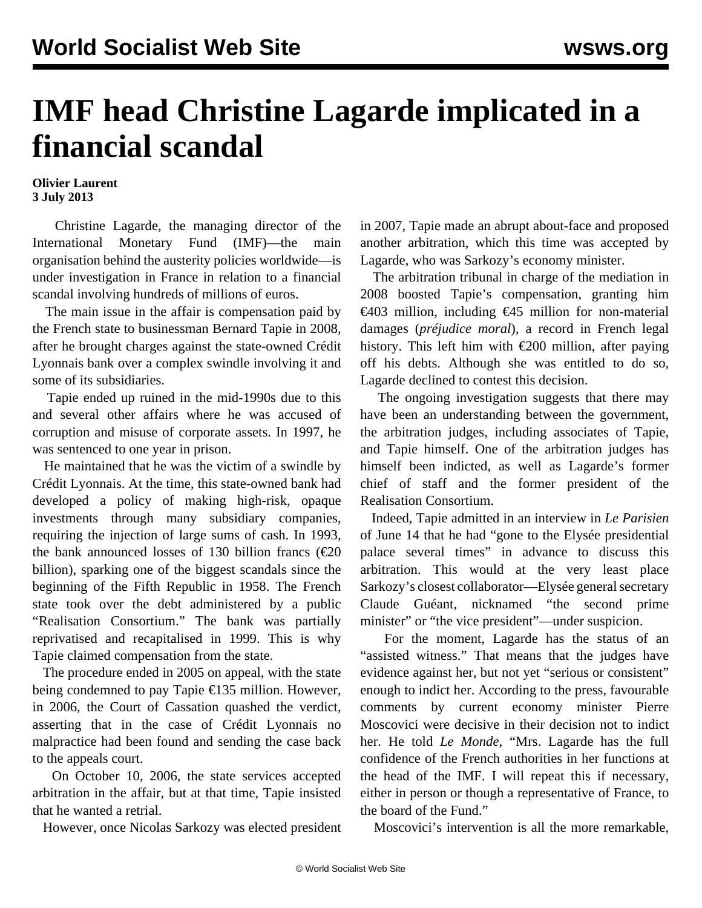## **IMF head Christine Lagarde implicated in a financial scandal**

## **Olivier Laurent 3 July 2013**

 Christine Lagarde, the managing director of the International Monetary Fund (IMF)—the main organisation behind the austerity policies worldwide—is under investigation in France in relation to a financial scandal involving hundreds of millions of euros.

 The main issue in the affair is compensation paid by the French state to businessman Bernard Tapie in 2008, after he brought charges against the state-owned Crédit Lyonnais bank over a complex swindle involving it and some of its subsidiaries.

 Tapie ended up ruined in the mid-1990s due to this and several other affairs where he was accused of corruption and misuse of corporate assets. In 1997, he was sentenced to one year in prison.

 He maintained that he was the victim of a swindle by Crédit Lyonnais. At the time, this state-owned bank had developed a policy of making high-risk, opaque investments through many subsidiary companies, requiring the injection of large sums of cash. In 1993, the bank announced losses of 130 billion francs ( $\epsilon$ 20 billion), sparking one of the biggest scandals since the beginning of the Fifth Republic in 1958. The French state took over the debt administered by a public "Realisation Consortium." The bank was partially reprivatised and recapitalised in 1999. This is why Tapie claimed compensation from the state.

 The procedure ended in 2005 on appeal, with the state being condemned to pay Tapie €135 million. However, in 2006, the Court of Cassation quashed the verdict, asserting that in the case of Crédit Lyonnais no malpractice had been found and sending the case back to the appeals court.

 On October 10, 2006, the state services accepted arbitration in the affair, but at that time, Tapie insisted that he wanted a retrial.

However, once Nicolas Sarkozy was elected president

in 2007, Tapie made an abrupt about-face and proposed another arbitration, which this time was accepted by Lagarde, who was Sarkozy's economy minister.

 The arbitration tribunal in charge of the mediation in 2008 boosted Tapie's compensation, granting him €403 million, including €45 million for non-material damages (*préjudice moral*), a record in French legal history. This left him with  $\epsilon$ 200 million, after paying off his debts. Although she was entitled to do so, Lagarde declined to contest this decision.

 The ongoing investigation suggests that there may have been an understanding between the government, the arbitration judges, including associates of Tapie, and Tapie himself. One of the arbitration judges has himself been indicted, as well as Lagarde's former chief of staff and the former president of the Realisation Consortium.

 Indeed, Tapie admitted in an interview in *Le Parisien* of June 14 that he had "gone to the Elysée presidential palace several times" in advance to discuss this arbitration. This would at the very least place Sarkozy's closest collaborator—Elysée general secretary Claude Guéant, nicknamed "the second prime minister" or "the vice president"—under suspicion.

 For the moment, Lagarde has the status of an "assisted witness." That means that the judges have evidence against her, but not yet "serious or consistent" enough to indict her. According to the press, favourable comments by current economy minister Pierre Moscovici were decisive in their decision not to indict her. He told *Le Monde*, "Mrs. Lagarde has the full confidence of the French authorities in her functions at the head of the IMF. I will repeat this if necessary, either in person or though a representative of France, to the board of the Fund."

Moscovici's intervention is all the more remarkable,